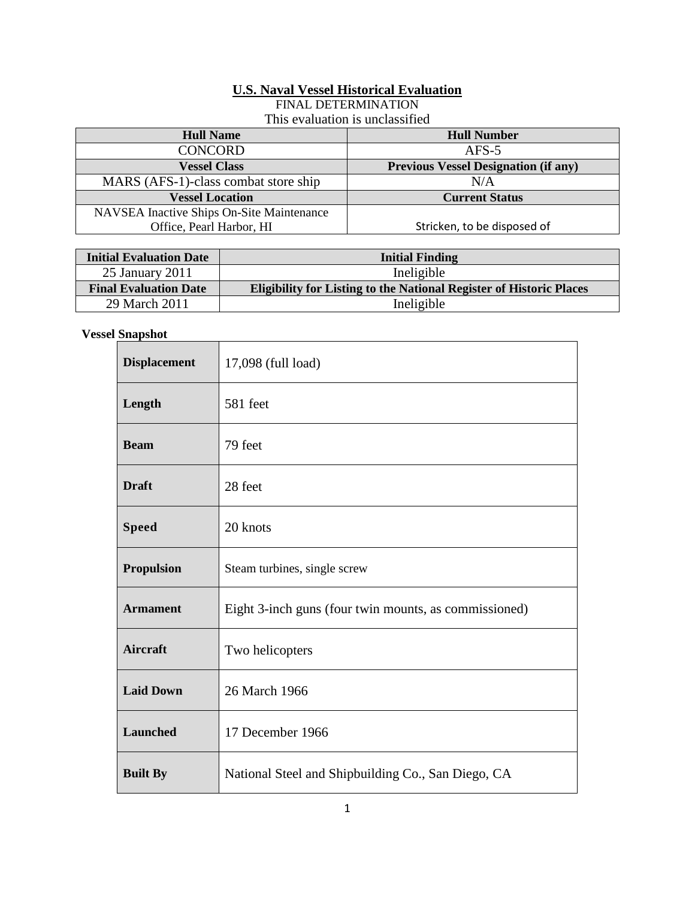## **U.S. Naval Vessel Historical Evaluation**

FINAL DETERMINATION

|  | This evaluation is unclassified |  |  |  |  |
|--|---------------------------------|--|--|--|--|
|--|---------------------------------|--|--|--|--|

| <b>Hull Name</b>                          | <b>Hull Number</b>                          |
|-------------------------------------------|---------------------------------------------|
| <b>CONCORD</b>                            | $AFS-5$                                     |
| <b>Vessel Class</b>                       | <b>Previous Vessel Designation (if any)</b> |
| MARS (AFS-1)-class combat store ship      | N/A                                         |
| <b>Vessel Location</b>                    | <b>Current Status</b>                       |
| NAVSEA Inactive Ships On-Site Maintenance |                                             |
| Office, Pearl Harbor, HI                  | Stricken, to be disposed of                 |
|                                           |                                             |

| <b>Initial Evaluation Date</b> | <b>Initial Finding</b>                                                     |
|--------------------------------|----------------------------------------------------------------------------|
| 25 January 2011                | Ineligible                                                                 |
| <b>Final Evaluation Date</b>   | <b>Eligibility for Listing to the National Register of Historic Places</b> |
| 29 March 2011                  | Ineligible                                                                 |

## **Vessel Snapshot**

| <b>Displacement</b> | 17,098 (full load)                                    |
|---------------------|-------------------------------------------------------|
| Length              | 581 feet                                              |
| <b>Beam</b>         | 79 feet                                               |
| <b>Draft</b>        | 28 feet                                               |
| <b>Speed</b>        | 20 knots                                              |
| <b>Propulsion</b>   | Steam turbines, single screw                          |
| <b>Armament</b>     | Eight 3-inch guns (four twin mounts, as commissioned) |
| <b>Aircraft</b>     | Two helicopters                                       |
| <b>Laid Down</b>    | 26 March 1966                                         |
| <b>Launched</b>     | 17 December 1966                                      |
| <b>Built By</b>     | National Steel and Shipbuilding Co., San Diego, CA    |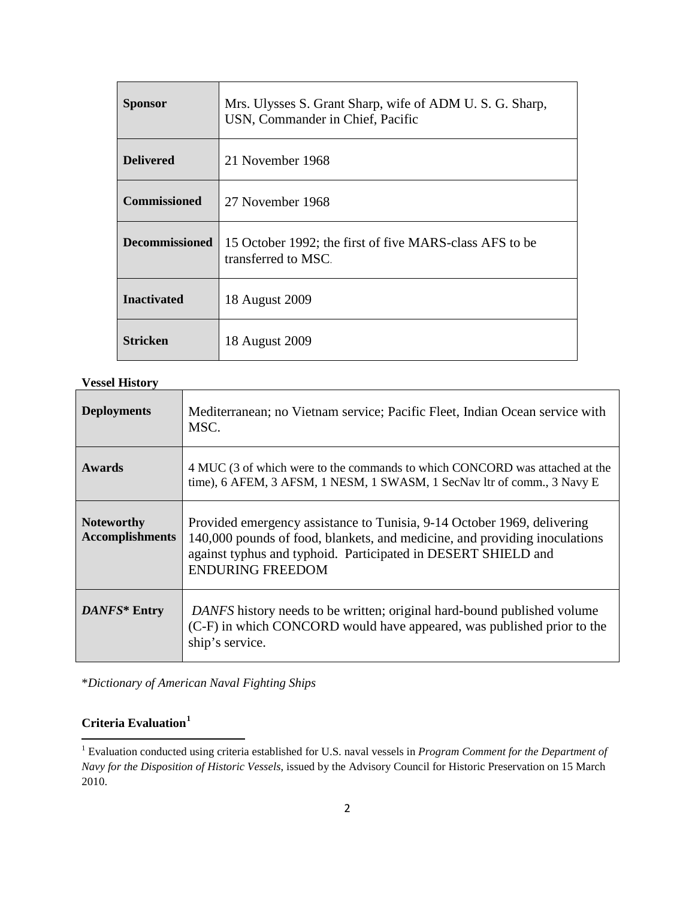| <b>Sponsor</b>        | Mrs. Ulysses S. Grant Sharp, wife of ADM U. S. G. Sharp,<br>USN, Commander in Chief, Pacific |
|-----------------------|----------------------------------------------------------------------------------------------|
| <b>Delivered</b>      | 21 November 1968                                                                             |
| <b>Commissioned</b>   | 27 November 1968                                                                             |
| <b>Decommissioned</b> | 15 October 1992; the first of five MARS-class AFS to be<br>transferred to MSC.               |
| <b>Inactivated</b>    | 18 August 2009                                                                               |
| Stricken              | 18 August 2009                                                                               |

**Vessel History**

| <b>Deployments</b>                          | Mediterranean; no Vietnam service; Pacific Fleet, Indian Ocean service with<br>MSC.                                                                                                                                                               |
|---------------------------------------------|---------------------------------------------------------------------------------------------------------------------------------------------------------------------------------------------------------------------------------------------------|
| Awards                                      | 4 MUC (3 of which were to the commands to which CONCORD was attached at the<br>time), 6 AFEM, 3 AFSM, 1 NESM, 1 SWASM, 1 SecNav ltr of comm., 3 Navy E                                                                                            |
| <b>Noteworthy</b><br><b>Accomplishments</b> | Provided emergency assistance to Tunisia, 9-14 October 1969, delivering<br>140,000 pounds of food, blankets, and medicine, and providing inoculations<br>against typhus and typhoid. Participated in DESERT SHIELD and<br><b>ENDURING FREEDOM</b> |
| DANFS* Entry                                | DANFS history needs to be written; original hard-bound published volume<br>(C-F) in which CONCORD would have appeared, was published prior to the<br>ship's service.                                                                              |

\**Dictionary of American Naval Fighting Ships*

## **Criteria Evaluation[1](#page-1-0)**

 $\overline{\phantom{a}}$ 

<span id="page-1-0"></span><sup>1</sup> Evaluation conducted using criteria established for U.S. naval vessels in *Program Comment for the Department of Navy for the Disposition of Historic Vessels*, issued by the Advisory Council for Historic Preservation on 15 March 2010.